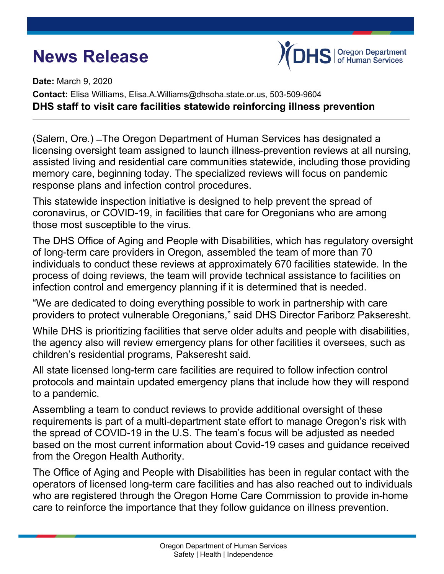## **News Release**



**Date:** March 9, 2020 **Contact:** Elisa Williams, Elisa.A.Williams@dhsoha.state.or.us, 503-509-9604 **DHS staff to visit care facilities statewide reinforcing illness prevention**

(Salem, Ore.) ̶The Oregon Department of Human Services has designated a licensing oversight team assigned to launch illness-prevention reviews at all nursing, assisted living and residential care communities statewide, including those providing memory care, beginning today. The specialized reviews will focus on pandemic response plans and infection control procedures.

This statewide inspection initiative is designed to help prevent the spread of coronavirus, or COVID-19, in facilities that care for Oregonians who are among those most susceptible to the virus.

The DHS Office of Aging and People with Disabilities, which has regulatory oversight of long-term care providers in Oregon, assembled the team of more than 70 individuals to conduct these reviews at approximately 670 facilities statewide. In the process of doing reviews, the team will provide technical assistance to facilities on infection control and emergency planning if it is determined that is needed.

"We are dedicated to doing everything possible to work in partnership with care providers to protect vulnerable Oregonians," said DHS Director Fariborz Pakseresht.

While DHS is prioritizing facilities that serve older adults and people with disabilities, the agency also will review emergency plans for other facilities it oversees, such as children's residential programs, Pakseresht said.

All state licensed long-term care facilities are required to follow infection control protocols and maintain updated emergency plans that include how they will respond to a pandemic.

Assembling a team to conduct reviews to provide additional oversight of these requirements is part of a multi-department state effort to manage Oregon's risk with the spread of COVID-19 in the U.S. The team's focus will be adjusted as needed based on the most current information about Covid-19 cases and guidance received from the Oregon Health Authority.

The Office of Aging and People with Disabilities has been in regular contact with the operators of licensed long-term care facilities and has also reached out to individuals who are registered through the Oregon Home Care Commission to provide in-home care to reinforce the importance that they follow guidance on illness prevention.